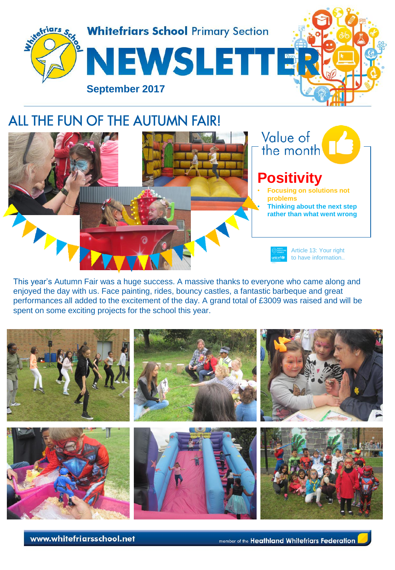

## ALL THE FUN OF THE AUTUMN FAIR!

Value of **Positivity** • **Focusing on solutions not problems** • **Thinking about the next step rather than what went wrong**Article 13: Your right to have information..

This year's Autumn Fair was a huge success. A massive thanks to everyone who came along and enjoyed the day with us. Face painting, rides, bouncy castles, a fantastic barbeque and great performances all added to the excitement of the day. A grand total of £3009 was raised and will be spent on some exciting projects for the school this year.



www.whitefriarsschool.net